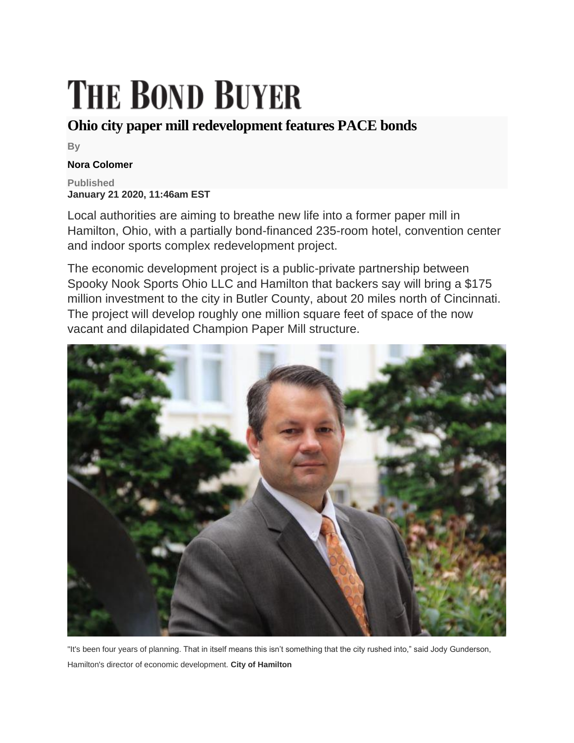## **THE BOND BUYER**

## **Ohio city paper mill redevelopment features PACE bonds**

**By**

## **Nora Colomer**

**Published January 21 2020, 11:46am EST**

Local authorities are aiming to breathe new life into a former paper mill in Hamilton, Ohio, with a partially bond-financed 235-room hotel, convention center and indoor sports complex redevelopment project.

The economic development project is a public-private partnership between Spooky Nook Sports Ohio LLC and Hamilton that backers say will bring a \$175 million investment to the city in Butler County, about 20 miles north of Cincinnati. The project will develop roughly one million square feet of space of the now vacant and dilapidated Champion Paper Mill structure.



"It's been four years of planning. That in itself means this isn't something that the city rushed into," said Jody Gunderson, Hamilton's director of economic development. **City of Hamilton**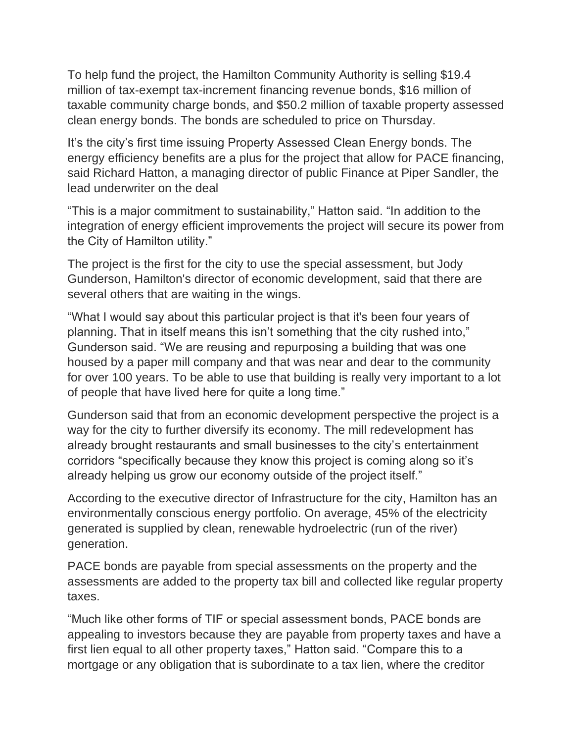To help fund the project, the Hamilton Community Authority is selling \$19.4 million of tax-exempt tax-increment financing revenue bonds, \$16 million of taxable community charge bonds, and \$50.2 million of taxable property assessed clean energy bonds. The bonds are scheduled to price on Thursday.

It's the city's first time issuing Property Assessed Clean Energy bonds. The energy efficiency benefits are a plus for the project that allow for PACE financing, said Richard Hatton, a managing director of public Finance at Piper Sandler, the lead underwriter on the deal

"This is a major commitment to sustainability," Hatton said. "In addition to the integration of energy efficient improvements the project will secure its power from the City of Hamilton utility."

The project is the first for the city to use the special assessment, but Jody Gunderson, Hamilton's director of economic development, said that there are several others that are waiting in the wings.

"What I would say about this particular project is that it's been four years of planning. That in itself means this isn't something that the city rushed into," Gunderson said. "We are reusing and repurposing a building that was one housed by a paper mill company and that was near and dear to the community for over 100 years. To be able to use that building is really very important to a lot of people that have lived here for quite a long time."

Gunderson said that from an economic development perspective the project is a way for the city to further diversify its economy. The mill redevelopment has already brought restaurants and small businesses to the city's entertainment corridors "specifically because they know this project is coming along so it's already helping us grow our economy outside of the project itself."

According to the executive director of Infrastructure for the city, Hamilton has an environmentally conscious energy portfolio. On average, 45% of the electricity generated is supplied by clean, renewable hydroelectric (run of the river) generation.

PACE bonds are payable from special assessments on the property and the assessments are added to the property tax bill and collected like regular property taxes.

"Much like other forms of TIF or special assessment bonds, PACE bonds are appealing to investors because they are payable from property taxes and have a first lien equal to all other property taxes," Hatton said. "Compare this to a mortgage or any obligation that is subordinate to a tax lien, where the creditor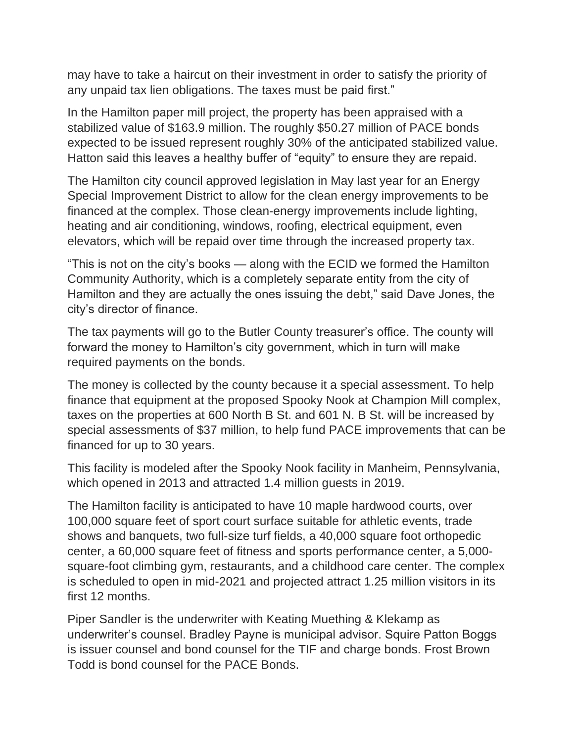may have to take a haircut on their investment in order to satisfy the priority of any unpaid tax lien obligations. The taxes must be paid first."

In the Hamilton paper mill project, the property has been appraised with a stabilized value of \$163.9 million. The roughly \$50.27 million of PACE bonds expected to be issued represent roughly 30% of the anticipated stabilized value. Hatton said this leaves a healthy buffer of "equity" to ensure they are repaid.

The Hamilton city council approved legislation in May last year for an Energy Special Improvement District to allow for the clean energy improvements to be financed at the complex. Those clean-energy improvements include lighting, heating and air conditioning, windows, roofing, electrical equipment, even elevators, which will be repaid over time through the increased property tax.

"This is not on the city's books — along with the ECID we formed the Hamilton Community Authority, which is a completely separate entity from the city of Hamilton and they are actually the ones issuing the debt," said Dave Jones, the city's director of finance.

The tax payments will go to the Butler County treasurer's office. The county will forward the money to Hamilton's city government, which in turn will make required payments on the bonds.

The money is collected by the county because it a special assessment. To help finance that equipment at the proposed Spooky Nook at Champion Mill complex, taxes on the properties at 600 North B St. and 601 N. B St. will be increased by special assessments of \$37 million, to help fund PACE improvements that can be financed for up to 30 years.

This facility is modeled after the Spooky Nook facility in Manheim, Pennsylvania, which opened in 2013 and attracted 1.4 million guests in 2019.

The Hamilton facility is anticipated to have 10 maple hardwood courts, over 100,000 square feet of sport court surface suitable for athletic events, trade shows and banquets, two full-size turf fields, a 40,000 square foot orthopedic center, a 60,000 square feet of fitness and sports performance center, a 5,000 square-foot climbing gym, restaurants, and a childhood care center. The complex is scheduled to open in mid-2021 and projected attract 1.25 million visitors in its first 12 months.

Piper Sandler is the underwriter with Keating Muething & Klekamp as underwriter's counsel. Bradley Payne is municipal advisor. Squire Patton Boggs is issuer counsel and bond counsel for the TIF and charge bonds. Frost Brown Todd is bond counsel for the PACE Bonds.